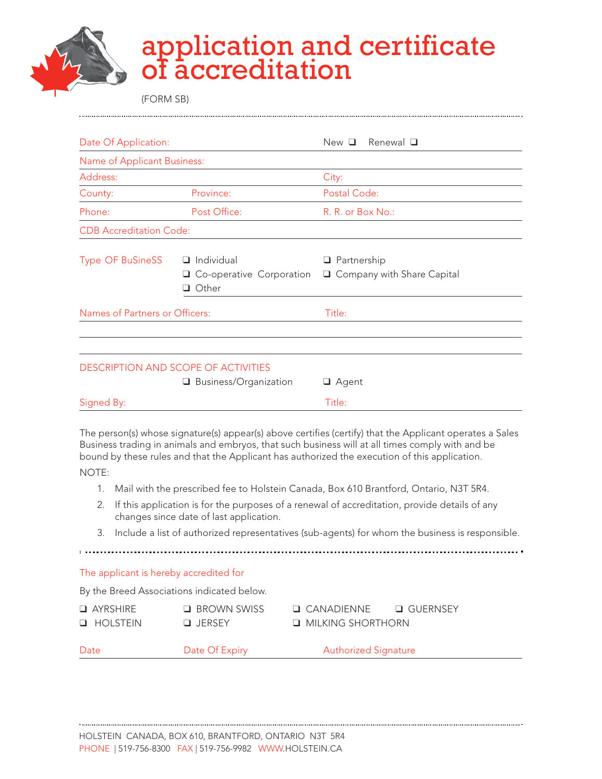

## application and certificate of accreditation

(FORM SB)

| Date Of Application:           |                                                                       | Renewal $\Box$<br>New <sub>D</sub>                 |  |
|--------------------------------|-----------------------------------------------------------------------|----------------------------------------------------|--|
| Name of Applicant Business:    |                                                                       |                                                    |  |
| Address:                       |                                                                       | City:                                              |  |
| County:                        | Province:                                                             | Postal Code:                                       |  |
| Phone:                         | Post Office:                                                          | R. R. or Box No.:                                  |  |
| <b>CDB Accreditation Code:</b> |                                                                       |                                                    |  |
| <b>Type OF BuSineSS</b>        | $\Box$ Individual<br>Co-operative Corporation<br>u<br>Other<br>n      | $\Box$ Partnership<br>□ Company with Share Capital |  |
| Names of Partners or Officers: |                                                                       | Title:                                             |  |
|                                | <b>DESCRIPTION AND SCOPE OF ACTIVITIES</b><br>□ Business/Organization | $\Box$ Agent                                       |  |
| Signed By:                     |                                                                       | Title:                                             |  |

The person(s) whose signature(s) appear(s) above certifies (certify) that the Applicant operates a Sales Business trading in animals and embryos, that such business will at all times comply with and be bound by these rules and that the Applicant has authorized the execution of this application.

NOTE:

- 1. Mail with the prescribed fee to Holstein Canada, Box 610 Brantford, Ontario, N3T 5R4.
- 2. If this application is for the purposes of a renewal of accreditation, provide details of any changes since date of last application.
- 3. Include a list of authorized representatives (sub-agents) for whom the business is responsible.

The applicant is hereby accredited for

By the Breed Associations indicated below.

| $\Box$ AYRSHIRE    | $\Box$ BROWN SWISS | $\Box$ CANADIENNE          | □ GUERNSEY |
|--------------------|--------------------|----------------------------|------------|
| <b>LE</b> HOLSTEIN | $\Box$ JFRSFY      | <b>U MILKING SHORTHORN</b> |            |

Date Date Of Expiry **Contains Authorized Signature**